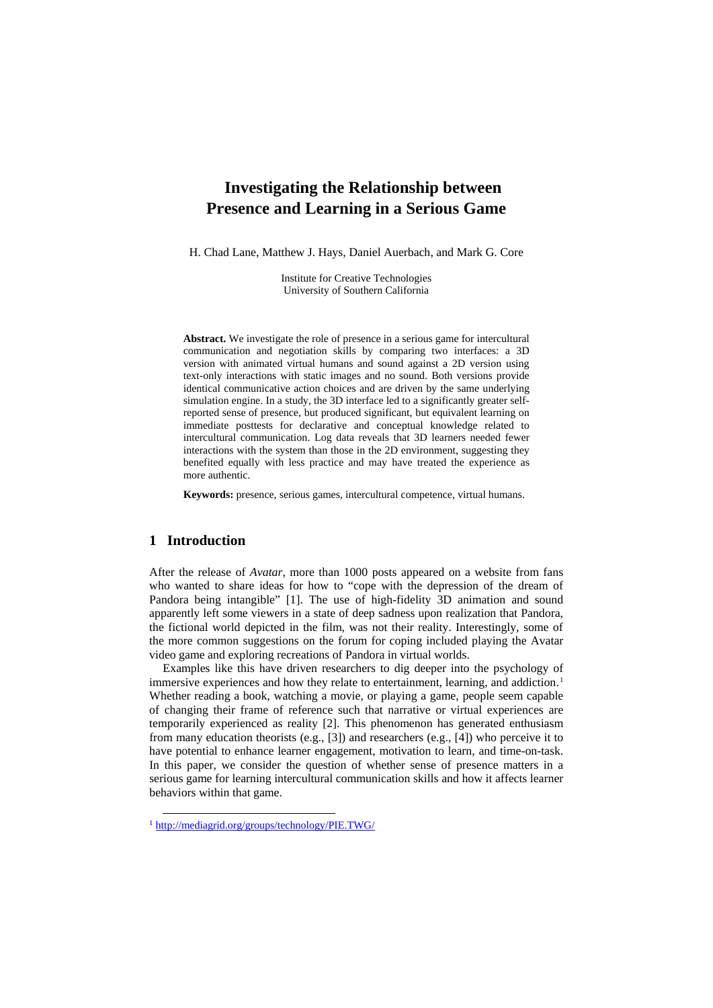# **Investigating the Relationship between Presence and Learning in a Serious Game**

H. Chad Lane, Matthew J. Hays, Daniel Auerbach, and Mark G. Core

Institute for Creative Technologies University of Southern California

**Abstract.** We investigate the role of presence in a serious game for intercultural communication and negotiation skills by comparing two interfaces: a 3D version with animated virtual humans and sound against a 2D version using text-only interactions with static images and no sound. Both versions provide identical communicative action choices and are driven by the same underlying simulation engine. In a study, the 3D interface led to a significantly greater selfreported sense of presence, but produced significant, but equivalent learning on immediate posttests for declarative and conceptual knowledge related to intercultural communication. Log data reveals that 3D learners needed fewer interactions with the system than those in the 2D environment, suggesting they benefited equally with less practice and may have treated the experience as more authentic.

**Keywords:** presence, serious games, intercultural competence, virtual humans.

# **1 Introduction**

After the release of *Avatar*, more than 1000 posts appeared on a website from fans who wanted to share ideas for how to "cope with the depression of the dream of Pandora being intangible" [1]. The use of high-fidelity 3D animation and sound apparently left some viewers in a state of deep sadness upon realization that Pandora, the fictional world depicted in the film, was not their reality. Interestingly, some of the more common suggestions on the forum for coping included playing the Avatar video game and exploring recreations of Pandora in virtual worlds.

Examples like this have driven researchers to dig deeper into the psychology of immersive experiences and how they relate to entertainment, learning, and addiction.<sup>[1](#page-0-0)</sup> Whether reading a book, watching a movie, or playing a game, people seem capable of changing their frame of reference such that narrative or virtual experiences are temporarily experienced as reality [2]. This phenomenon has generated enthusiasm from many education theorists (e.g., [3]) and researchers (e.g., [4]) who perceive it to have potential to enhance learner engagement, motivation to learn, and time-on-task. In this paper, we consider the question of whether sense of presence matters in a serious game for learning intercultural communication skills and how it affects learner behaviors within that game.

<span id="page-0-0"></span> <sup>1</sup> <http://mediagrid.org/groups/technology/PIE.TWG/>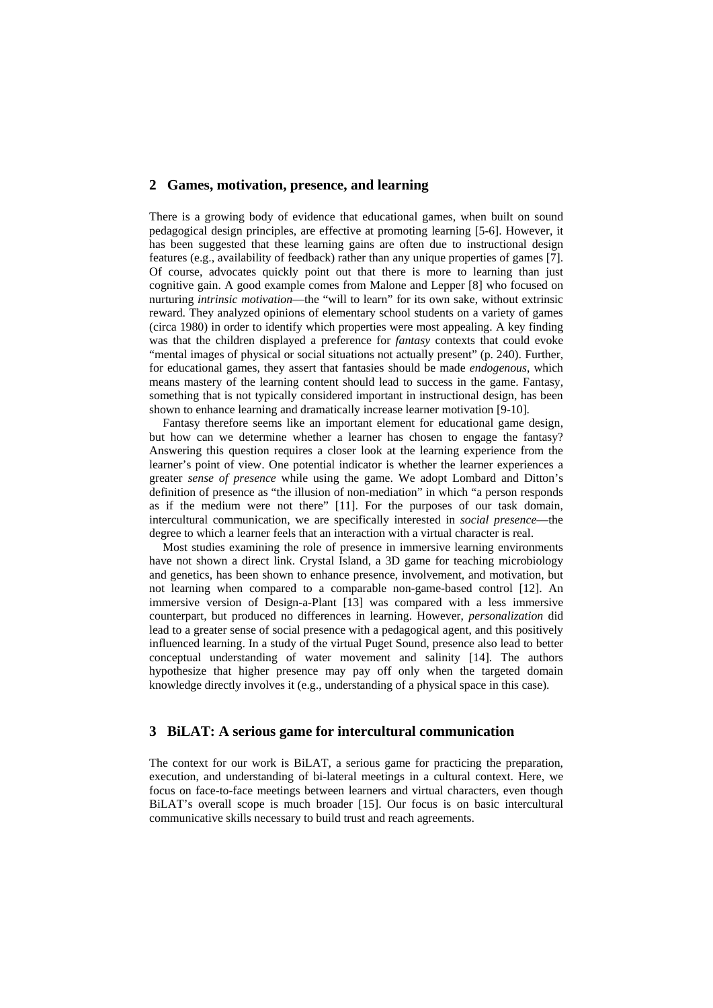### **2 Games, motivation, presence, and learning**

There is a growing body of evidence that educational games, when built on sound pedagogical design principles, are effective at promoting learning [5-6]. However, it has been suggested that these learning gains are often due to instructional design features (e.g., availability of feedback) rather than any unique properties of games [7]. Of course, advocates quickly point out that there is more to learning than just cognitive gain. A good example comes from Malone and Lepper [8] who focused on nurturing *intrinsic motivation*—the "will to learn" for its own sake, without extrinsic reward. They analyzed opinions of elementary school students on a variety of games (circa 1980) in order to identify which properties were most appealing. A key finding was that the children displayed a preference for *fantasy* contexts that could evoke "mental images of physical or social situations not actually present" (p. 240). Further, for educational games, they assert that fantasies should be made *endogenous*, which means mastery of the learning content should lead to success in the game. Fantasy, something that is not typically considered important in instructional design, has been shown to enhance learning and dramatically increase learner motivation [9-10].

Fantasy therefore seems like an important element for educational game design, but how can we determine whether a learner has chosen to engage the fantasy? Answering this question requires a closer look at the learning experience from the learner's point of view. One potential indicator is whether the learner experiences a greater *sense of presence* while using the game. We adopt Lombard and Ditton's definition of presence as "the illusion of non-mediation" in which "a person responds as if the medium were not there" [11]. For the purposes of our task domain, intercultural communication, we are specifically interested in *social presence*—the degree to which a learner feels that an interaction with a virtual character is real.

Most studies examining the role of presence in immersive learning environments have not shown a direct link. Crystal Island, a 3D game for teaching microbiology and genetics, has been shown to enhance presence, involvement, and motivation, but not learning when compared to a comparable non-game-based control [12]. An immersive version of Design-a-Plant [13] was compared with a less immersive counterpart, but produced no differences in learning. However, *personalization* did lead to a greater sense of social presence with a pedagogical agent, and this positively influenced learning. In a study of the virtual Puget Sound, presence also lead to better conceptual understanding of water movement and salinity [14]. The authors hypothesize that higher presence may pay off only when the targeted domain knowledge directly involves it (e.g., understanding of a physical space in this case).

### **3 BiLAT: A serious game for intercultural communication**

The context for our work is BiLAT, a serious game for practicing the preparation, execution, and understanding of bi-lateral meetings in a cultural context. Here, we focus on face-to-face meetings between learners and virtual characters, even though BiLAT's overall scope is much broader [15]. Our focus is on basic intercultural communicative skills necessary to build trust and reach agreements.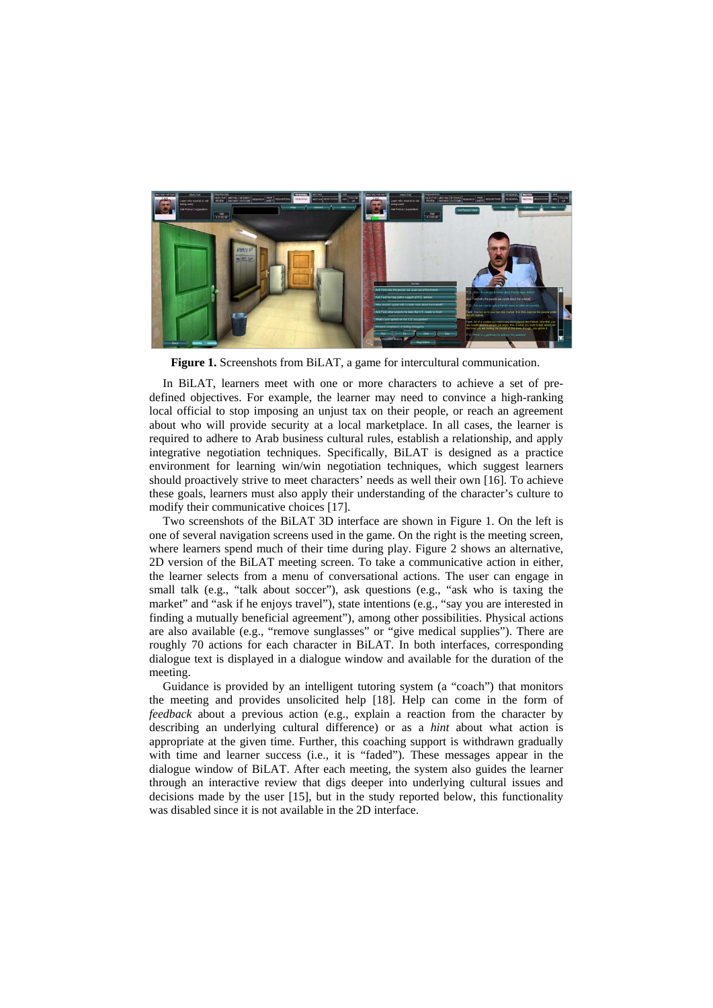

**Figure 1.** Screenshots from BiLAT, a game for intercultural communication.

In BiLAT, learners meet with one or more characters to achieve a set of predefined objectives. For example, the learner may need to convince a high-ranking local official to stop imposing an unjust tax on their people, or reach an agreement about who will provide security at a local marketplace. In all cases, the learner is required to adhere to Arab business cultural rules, establish a relationship, and apply integrative negotiation techniques. Specifically, BiLAT is designed as a practice environment for learning win/win negotiation techniques, which suggest learners should proactively strive to meet characters' needs as well their own [16]. To achieve these goals, learners must also apply their understanding of the character's culture to modify their communicative choices [17].

Two screenshots of the BiLAT 3D interface are shown in Figure 1. On the left is one of several navigation screens used in the game. On the right is the meeting screen, where learners spend much of their time during play. Figure 2 shows an alternative, 2D version of the BiLAT meeting screen. To take a communicative action in either, the learner selects from a menu of conversational actions. The user can engage in small talk (e.g., "talk about soccer"), ask questions (e.g., "ask who is taxing the market" and "ask if he enjoys travel"), state intentions (e.g., "say you are interested in finding a mutually beneficial agreement"), among other possibilities. Physical actions are also available (e.g., "remove sunglasses" or "give medical supplies"). There are roughly 70 actions for each character in BiLAT. In both interfaces, corresponding dialogue text is displayed in a dialogue window and available for the duration of the meeting.

Guidance is provided by an intelligent tutoring system (a "coach") that monitors the meeting and provides unsolicited help [18]. Help can come in the form of *feedback* about a previous action (e.g., explain a reaction from the character by describing an underlying cultural difference) or as a *hint* about what action is appropriate at the given time. Further, this coaching support is withdrawn gradually with time and learner success (i.e., it is "faded"). These messages appear in the dialogue window of BiLAT. After each meeting, the system also guides the learner through an interactive review that digs deeper into underlying cultural issues and decisions made by the user [15], but in the study reported below, this functionality was disabled since it is not available in the 2D interface.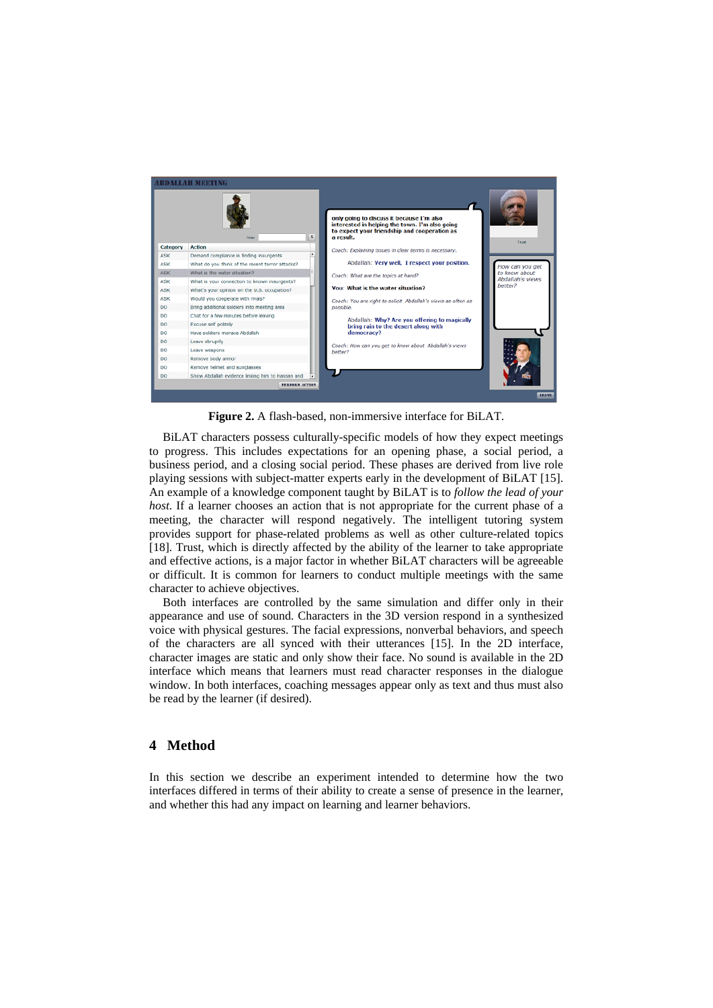

**Figure 2.** A flash-based, non-immersive interface for BiLAT.

BiLAT characters possess culturally-specific models of how they expect meetings to progress. This includes expectations for an opening phase, a social period, a business period, and a closing social period. These phases are derived from live role playing sessions with subject-matter experts early in the development of BiLAT [15]. An example of a knowledge component taught by BiLAT is to *follow the lead of your host*. If a learner chooses an action that is not appropriate for the current phase of a meeting, the character will respond negatively. The intelligent tutoring system provides support for phase-related problems as well as other culture-related topics [18]. Trust, which is directly affected by the ability of the learner to take appropriate and effective actions, is a major factor in whether BiLAT characters will be agreeable or difficult. It is common for learners to conduct multiple meetings with the same character to achieve objectives.

Both interfaces are controlled by the same simulation and differ only in their appearance and use of sound. Characters in the 3D version respond in a synthesized voice with physical gestures. The facial expressions, nonverbal behaviors, and speech of the characters are all synced with their utterances [15]. In the 2D interface, character images are static and only show their face. No sound is available in the 2D interface which means that learners must read character responses in the dialogue window. In both interfaces, coaching messages appear only as text and thus must also be read by the learner (if desired).

# **4 Method**

In this section we describe an experiment intended to determine how the two interfaces differed in terms of their ability to create a sense of presence in the learner, and whether this had any impact on learning and learner behaviors.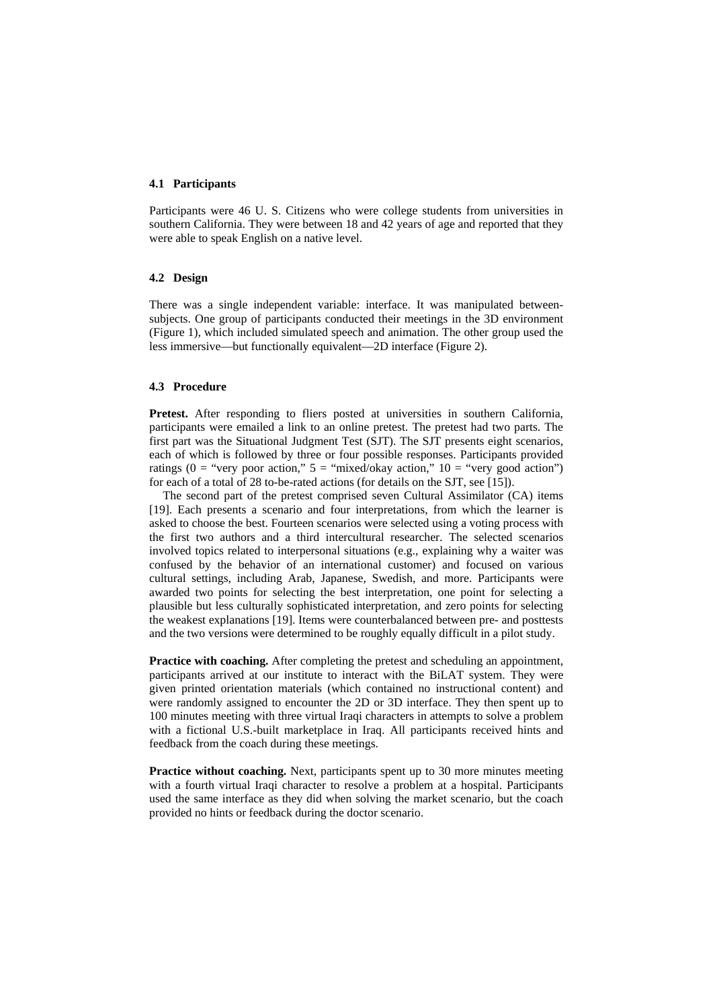### **4.1 Participants**

Participants were 46 U. S. Citizens who were college students from universities in southern California. They were between 18 and 42 years of age and reported that they were able to speak English on a native level.

### **4.2 Design**

There was a single independent variable: interface. It was manipulated betweensubjects. One group of participants conducted their meetings in the 3D environment (Figure 1), which included simulated speech and animation. The other group used the less immersive—but functionally equivalent—2D interface (Figure 2).

### **4.3 Procedure**

Pretest. After responding to fliers posted at universities in southern California, participants were emailed a link to an online pretest. The pretest had two parts. The first part was the Situational Judgment Test (SJT). The SJT presents eight scenarios, each of which is followed by three or four possible responses. Participants provided ratings ( $0 =$  "very poor action,"  $5 =$  "mixed/okay action,"  $10 =$  "very good action") for each of a total of 28 to-be-rated actions (for details on the SJT, see [15]).

The second part of the pretest comprised seven Cultural Assimilator (CA) items [19]. Each presents a scenario and four interpretations, from which the learner is asked to choose the best. Fourteen scenarios were selected using a voting process with the first two authors and a third intercultural researcher. The selected scenarios involved topics related to interpersonal situations (e.g., explaining why a waiter was confused by the behavior of an international customer) and focused on various cultural settings, including Arab, Japanese, Swedish, and more. Participants were awarded two points for selecting the best interpretation, one point for selecting a plausible but less culturally sophisticated interpretation, and zero points for selecting the weakest explanations [19]. Items were counterbalanced between pre- and posttests and the two versions were determined to be roughly equally difficult in a pilot study.

**Practice with coaching.** After completing the pretest and scheduling an appointment, participants arrived at our institute to interact with the BiLAT system. They were given printed orientation materials (which contained no instructional content) and were randomly assigned to encounter the 2D or 3D interface. They then spent up to 100 minutes meeting with three virtual Iraqi characters in attempts to solve a problem with a fictional U.S.-built marketplace in Iraq. All participants received hints and feedback from the coach during these meetings.

**Practice without coaching.** Next, participants spent up to 30 more minutes meeting with a fourth virtual Iraqi character to resolve a problem at a hospital. Participants used the same interface as they did when solving the market scenario, but the coach provided no hints or feedback during the doctor scenario.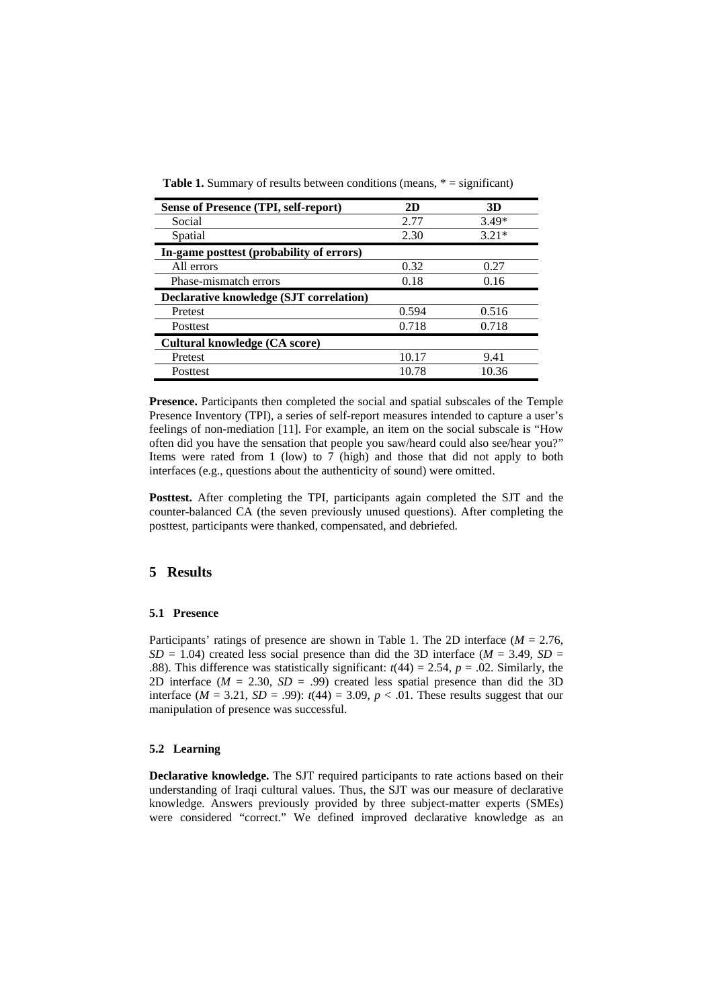| Sense of Presence (TPI, self-report)     | 2D    | 3D      |
|------------------------------------------|-------|---------|
| Social                                   | 2.77  | $3.49*$ |
| Spatial                                  | 2.30  | $3.21*$ |
| In-game posttest (probability of errors) |       |         |
| All errors                               | 0.32  | 0.27    |
| Phase-mismatch errors                    | 0.18  | 0.16    |
| Declarative knowledge (SJT correlation)  |       |         |
| Pretest                                  | 0.594 | 0.516   |
| <b>Posttest</b>                          | 0.718 | 0.718   |
| Cultural knowledge (CA score)            |       |         |
| Pretest                                  | 10.17 | 9.41    |
| <b>Posttest</b>                          | 10.78 | 10.36   |

**Table 1.** Summary of results between conditions (means,  $* =$  significant)

**Presence.** Participants then completed the social and spatial subscales of the Temple Presence Inventory (TPI), a series of self-report measures intended to capture a user's feelings of non-mediation [11]. For example, an item on the social subscale is "How often did you have the sensation that people you saw/heard could also see/hear you?" Items were rated from 1 (low) to 7 (high) and those that did not apply to both interfaces (e.g., questions about the authenticity of sound) were omitted.

**Posttest.** After completing the TPI, participants again completed the SJT and the counter-balanced CA (the seven previously unused questions). After completing the posttest, participants were thanked, compensated, and debriefed.

# **5 Results**

#### **5.1 Presence**

Participants' ratings of presence are shown in Table 1. The 2D interface (*M* = 2.76,  $SD = 1.04$ ) created less social presence than did the 3D interface ( $M = 3.49$ ,  $SD =$ .88). This difference was statistically significant:  $t(44) = 2.54$ ,  $p = .02$ . Similarly, the 2D interface  $(M = 2.30, SD = .99)$  created less spatial presence than did the 3D interface  $(M = 3.21, SD = .99)$ :  $t(44) = 3.09, p < .01$ . These results suggest that our manipulation of presence was successful.

### **5.2 Learning**

**Declarative knowledge.** The SJT required participants to rate actions based on their understanding of Iraqi cultural values. Thus, the SJT was our measure of declarative knowledge. Answers previously provided by three subject-matter experts (SMEs) were considered "correct." We defined improved declarative knowledge as an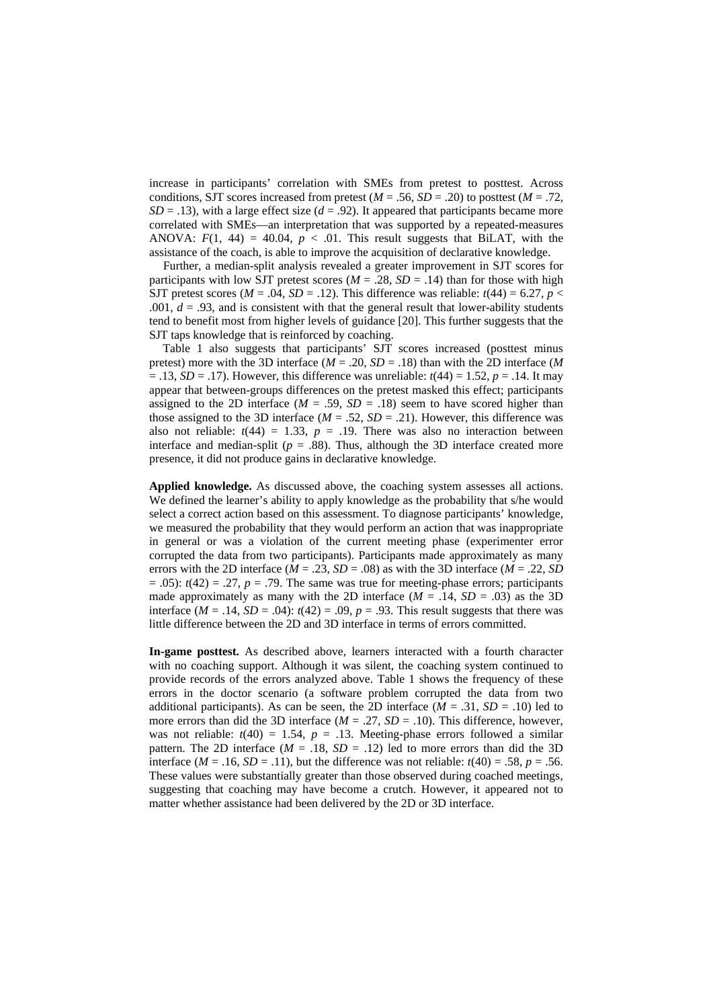increase in participants' correlation with SMEs from pretest to posttest. Across conditions, SJT scores increased from pretest ( $M = .56$ ,  $SD = .20$ ) to posttest ( $M = .72$ ,  $SD = .13$ ), with a large effect size ( $d = .92$ ). It appeared that participants became more correlated with SMEs—an interpretation that was supported by a repeated-measures ANOVA:  $F(1, 44) = 40.04$ ,  $p < .01$ . This result suggests that BiLAT, with the assistance of the coach, is able to improve the acquisition of declarative knowledge.

Further, a median-split analysis revealed a greater improvement in SJT scores for participants with low SJT pretest scores ( $M = .28$ ,  $SD = .14$ ) than for those with high SJT pretest scores ( $M = .04$ ,  $SD = .12$ ). This difference was reliable:  $t(44) = 6.27$ ,  $p <$ .001,  $d = .93$ , and is consistent with that the general result that lower-ability students tend to benefit most from higher levels of guidance [20]. This further suggests that the SJT taps knowledge that is reinforced by coaching.

Table 1 also suggests that participants' SJT scores increased (posttest minus pretest) more with the 3D interface ( $M = .20$ ,  $SD = .18$ ) than with the 2D interface (M  $= .13$ ,  $SD = .17$ ). However, this difference was unreliable:  $t(44) = 1.52$ ,  $p = .14$ . It may appear that between-groups differences on the pretest masked this effect; participants assigned to the 2D interface  $(M = .59, SD = .18)$  seem to have scored higher than those assigned to the 3D interface ( $M = .52$ ,  $SD = .21$ ). However, this difference was also not reliable:  $t(44) = 1.33$ ,  $p = .19$ . There was also no interaction between interface and median-split ( $p = .88$ ). Thus, although the 3D interface created more presence, it did not produce gains in declarative knowledge.

**Applied knowledge.** As discussed above, the coaching system assesses all actions. We defined the learner's ability to apply knowledge as the probability that s/he would select a correct action based on this assessment. To diagnose participants' knowledge, we measured the probability that they would perform an action that was inappropriate in general or was a violation of the current meeting phase (experimenter error corrupted the data from two participants). Participants made approximately as many errors with the 2D interface ( $M = .23$ ,  $SD = .08$ ) as with the 3D interface ( $M = .22$ ,  $SD$  $= .05$ :  $t(42) = .27$ ,  $p = .79$ . The same was true for meeting-phase errors; participants made approximately as many with the 2D interface  $(M = .14, SD = .03)$  as the 3D interface  $(M = .14, SD = .04)$ :  $t(42) = .09$ ,  $p = .93$ . This result suggests that there was little difference between the 2D and 3D interface in terms of errors committed.

**In-game posttest.** As described above, learners interacted with a fourth character with no coaching support. Although it was silent, the coaching system continued to provide records of the errors analyzed above. Table 1 shows the frequency of these errors in the doctor scenario (a software problem corrupted the data from two additional participants). As can be seen, the 2D interface  $(M = .31, SD = .10)$  led to more errors than did the 3D interface  $(M = .27, SD = .10)$ . This difference, however, was not reliable:  $t(40) = 1.54$ ,  $p = .13$ . Meeting-phase errors followed a similar pattern. The 2D interface  $(M = .18, SD = .12)$  led to more errors than did the 3D interface ( $M = .16$ ,  $SD = .11$ ), but the difference was not reliable:  $t(40) = .58$ ,  $p = .56$ . These values were substantially greater than those observed during coached meetings, suggesting that coaching may have become a crutch. However, it appeared not to matter whether assistance had been delivered by the 2D or 3D interface.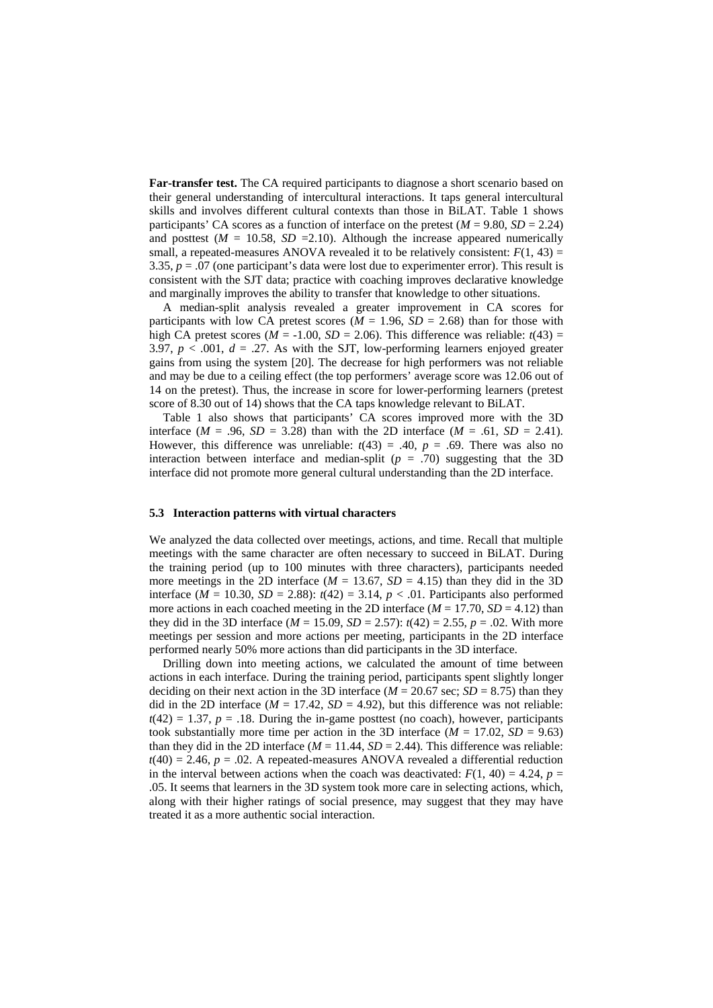**Far-transfer test.** The CA required participants to diagnose a short scenario based on their general understanding of intercultural interactions. It taps general intercultural skills and involves different cultural contexts than those in BiLAT. Table 1 shows participants' CA scores as a function of interface on the pretest  $(M = 9.80, SD = 2.24)$ and posttest  $(M = 10.58, SD = 2.10)$ . Although the increase appeared numerically small, a repeated-measures ANOVA revealed it to be relatively consistent:  $F(1, 43) =$ 3.35, *p* = .07 (one participant's data were lost due to experimenter error). This result is consistent with the SJT data; practice with coaching improves declarative knowledge and marginally improves the ability to transfer that knowledge to other situations.

A median-split analysis revealed a greater improvement in CA scores for participants with low CA pretest scores ( $M = 1.96$ ,  $SD = 2.68$ ) than for those with high CA pretest scores ( $M = -1.00$ ,  $SD = 2.06$ ). This difference was reliable:  $t(43) =$ 3.97,  $p < .001$ ,  $d = .27$ . As with the SJT, low-performing learners enjoyed greater gains from using the system [20]. The decrease for high performers was not reliable and may be due to a ceiling effect (the top performers' average score was 12.06 out of 14 on the pretest). Thus, the increase in score for lower-performing learners (pretest score of 8.30 out of 14) shows that the CA taps knowledge relevant to BiLAT.

Table 1 also shows that participants' CA scores improved more with the 3D interface ( $M = .96$ ,  $SD = 3.28$ ) than with the 2D interface ( $M = .61$ ,  $SD = 2.41$ ). However, this difference was unreliable:  $t(43) = .40$ ,  $p = .69$ . There was also no interaction between interface and median-split  $(p = .70)$  suggesting that the 3D interface did not promote more general cultural understanding than the 2D interface.

#### **5.3 Interaction patterns with virtual characters**

We analyzed the data collected over meetings, actions, and time. Recall that multiple meetings with the same character are often necessary to succeed in BiLAT. During the training period (up to 100 minutes with three characters), participants needed more meetings in the 2D interface ( $M = 13.67$ ,  $SD = 4.15$ ) than they did in the 3D interface ( $M = 10.30$ ,  $SD = 2.88$ ):  $t(42) = 3.14$ ,  $p < .01$ . Participants also performed more actions in each coached meeting in the 2D interface  $(M = 17.70, SD = 4.12)$  than they did in the 3D interface ( $M = 15.09$ ,  $SD = 2.57$ ):  $t(42) = 2.55$ ,  $p = .02$ . With more meetings per session and more actions per meeting, participants in the 2D interface performed nearly 50% more actions than did participants in the 3D interface.

Drilling down into meeting actions, we calculated the amount of time between actions in each interface. During the training period, participants spent slightly longer deciding on their next action in the 3D interface ( $M = 20.67$  sec;  $SD = 8.75$ ) than they did in the 2D interface  $(M = 17.42, SD = 4.92)$ , but this difference was not reliable:  $t(42) = 1.37$ ,  $p = .18$ . During the in-game posttest (no coach), however, participants took substantially more time per action in the 3D interface  $(M = 17.02, SD = 9.63)$ than they did in the 2D interface  $(M = 11.44, SD = 2.44)$ . This difference was reliable:  $t(40) = 2.46$ ,  $p = .02$ . A repeated-measures ANOVA revealed a differential reduction in the interval between actions when the coach was deactivated:  $F(1, 40) = 4.24$ ,  $p =$ .05. It seems that learners in the 3D system took more care in selecting actions, which, along with their higher ratings of social presence, may suggest that they may have treated it as a more authentic social interaction.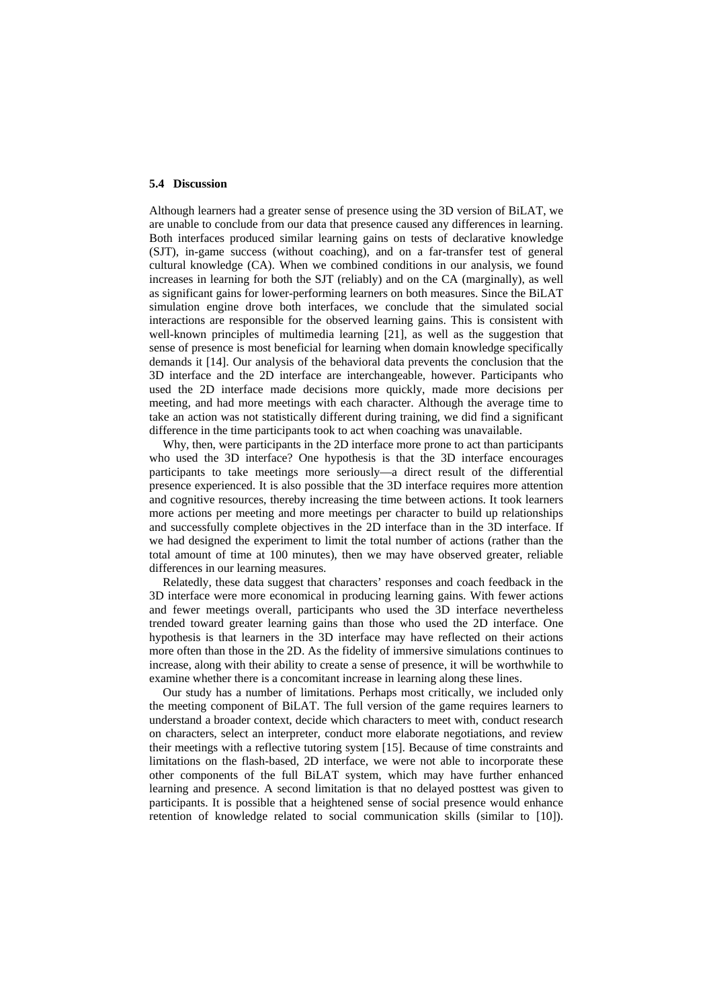#### **5.4 Discussion**

Although learners had a greater sense of presence using the 3D version of BiLAT, we are unable to conclude from our data that presence caused any differences in learning. Both interfaces produced similar learning gains on tests of declarative knowledge (SJT), in-game success (without coaching), and on a far-transfer test of general cultural knowledge (CA). When we combined conditions in our analysis, we found increases in learning for both the SJT (reliably) and on the CA (marginally), as well as significant gains for lower-performing learners on both measures. Since the BiLAT simulation engine drove both interfaces, we conclude that the simulated social interactions are responsible for the observed learning gains. This is consistent with well-known principles of multimedia learning [21], as well as the suggestion that sense of presence is most beneficial for learning when domain knowledge specifically demands it [14]. Our analysis of the behavioral data prevents the conclusion that the 3D interface and the 2D interface are interchangeable, however. Participants who used the 2D interface made decisions more quickly, made more decisions per meeting, and had more meetings with each character. Although the average time to take an action was not statistically different during training, we did find a significant difference in the time participants took to act when coaching was unavailable.

Why, then, were participants in the 2D interface more prone to act than participants who used the 3D interface? One hypothesis is that the 3D interface encourages participants to take meetings more seriously—a direct result of the differential presence experienced. It is also possible that the 3D interface requires more attention and cognitive resources, thereby increasing the time between actions. It took learners more actions per meeting and more meetings per character to build up relationships and successfully complete objectives in the 2D interface than in the 3D interface. If we had designed the experiment to limit the total number of actions (rather than the total amount of time at 100 minutes), then we may have observed greater, reliable differences in our learning measures.

Relatedly, these data suggest that characters' responses and coach feedback in the 3D interface were more economical in producing learning gains. With fewer actions and fewer meetings overall, participants who used the 3D interface nevertheless trended toward greater learning gains than those who used the 2D interface. One hypothesis is that learners in the 3D interface may have reflected on their actions more often than those in the 2D. As the fidelity of immersive simulations continues to increase, along with their ability to create a sense of presence, it will be worthwhile to examine whether there is a concomitant increase in learning along these lines.

Our study has a number of limitations. Perhaps most critically, we included only the meeting component of BiLAT. The full version of the game requires learners to understand a broader context, decide which characters to meet with, conduct research on characters, select an interpreter, conduct more elaborate negotiations, and review their meetings with a reflective tutoring system [15]. Because of time constraints and limitations on the flash-based, 2D interface, we were not able to incorporate these other components of the full BiLAT system, which may have further enhanced learning and presence. A second limitation is that no delayed posttest was given to participants. It is possible that a heightened sense of social presence would enhance retention of knowledge related to social communication skills (similar to [10]).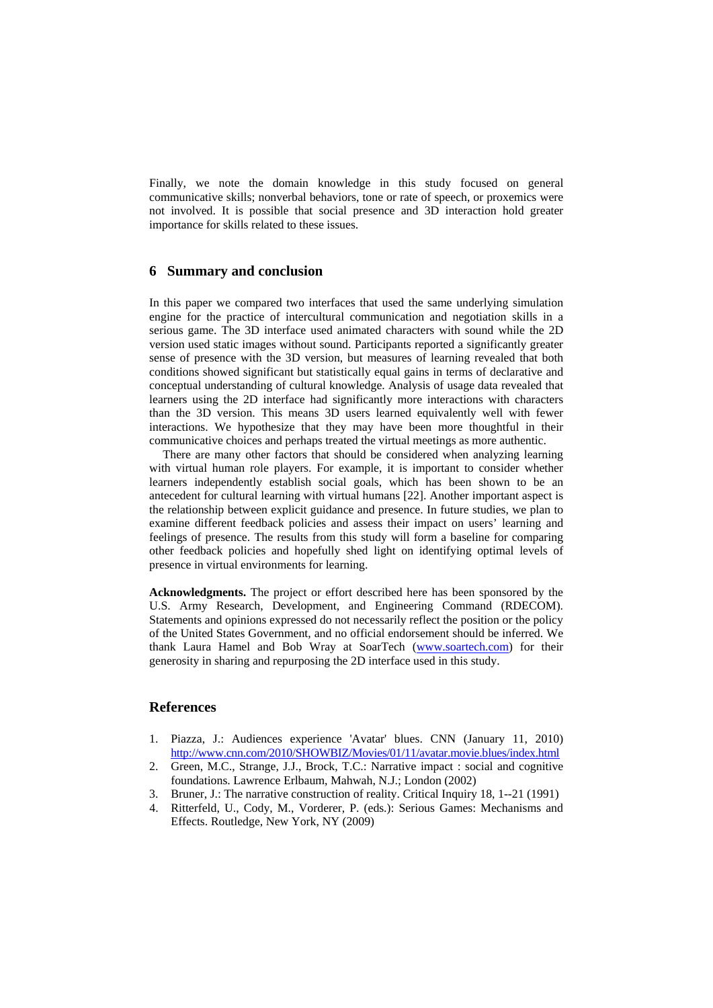Finally, we note the domain knowledge in this study focused on general communicative skills; nonverbal behaviors, tone or rate of speech, or proxemics were not involved. It is possible that social presence and 3D interaction hold greater importance for skills related to these issues.

# **6 Summary and conclusion**

In this paper we compared two interfaces that used the same underlying simulation engine for the practice of intercultural communication and negotiation skills in a serious game. The 3D interface used animated characters with sound while the 2D version used static images without sound. Participants reported a significantly greater sense of presence with the 3D version, but measures of learning revealed that both conditions showed significant but statistically equal gains in terms of declarative and conceptual understanding of cultural knowledge. Analysis of usage data revealed that learners using the 2D interface had significantly more interactions with characters than the 3D version. This means 3D users learned equivalently well with fewer interactions. We hypothesize that they may have been more thoughtful in their communicative choices and perhaps treated the virtual meetings as more authentic.

There are many other factors that should be considered when analyzing learning with virtual human role players. For example, it is important to consider whether learners independently establish social goals, which has been shown to be an antecedent for cultural learning with virtual humans [22]. Another important aspect is the relationship between explicit guidance and presence. In future studies, we plan to examine different feedback policies and assess their impact on users' learning and feelings of presence. The results from this study will form a baseline for comparing other feedback policies and hopefully shed light on identifying optimal levels of presence in virtual environments for learning.

**Acknowledgments.** The project or effort described here has been sponsored by the U.S. Army Research, Development, and Engineering Command (RDECOM). Statements and opinions expressed do not necessarily reflect the position or the policy of the United States Government, and no official endorsement should be inferred. We thank Laura Hamel and Bob Wray at SoarTech [\(www.soartech.com\)](http://www.soartech.com/) for their generosity in sharing and repurposing the 2D interface used in this study.

# **References**

- 1. Piazza, J.: Audiences experience 'Avatar' blues. CNN (January 11, 2010) <http://www.cnn.com/2010/SHOWBIZ/Movies/01/11/avatar.movie.blues/index.html>
- 2. Green, M.C., Strange, J.J., Brock, T.C.: Narrative impact : social and cognitive foundations. Lawrence Erlbaum, Mahwah, N.J.; London (2002)
- 3. Bruner, J.: The narrative construction of reality. Critical Inquiry 18, 1--21 (1991)
- 4. Ritterfeld, U., Cody, M., Vorderer, P. (eds.): Serious Games: Mechanisms and Effects. Routledge, New York, NY (2009)